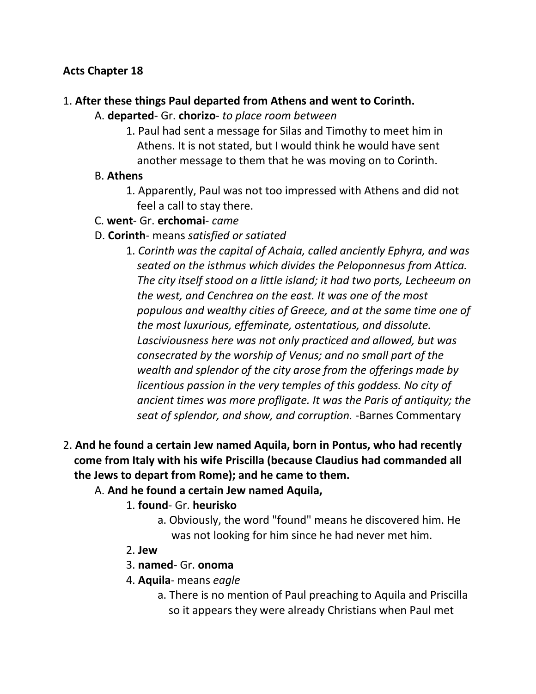### **Acts Chapter 18**

### 1. **After these things Paul departed from Athens and went to Corinth.**

### A. **departed**- Gr. **chorizo**- *to place room between*

1. Paul had sent a message for Silas and Timothy to meet him in Athens. It is not stated, but I would think he would have sent another message to them that he was moving on to Corinth.

#### B. **Athens**

- 1. Apparently, Paul was not too impressed with Athens and did not feel a call to stay there.
- C. **went** Gr. **erchomai** *came*
- D. **Corinth** means *satisfied or satiated*
	- 1. *Corinth was the capital of Achaia, called anciently Ephyra, and was seated on the isthmus which divides the Peloponnesus from Attica. The city itself stood on a little island; it had two ports, Lecheeum on the west, and Cenchrea on the east. It was one of the most populous and wealthy cities of Greece, and at the same time one of the most luxurious, effeminate, ostentatious, and dissolute. Lasciviousness here was not only practiced and allowed, but was consecrated by the worship of Venus; and no small part of the wealth and splendor of the city arose from the offerings made by licentious passion in the very temples of this goddess. No city of ancient times was more profligate. It was the Paris of antiquity; the seat of splendor, and show, and corruption.* -Barnes Commentary
- 2. **And he found a certain Jew named Aquila, born in Pontus, who had recently come from Italy with his wife Priscilla (because Claudius had commanded all the Jews to depart from Rome); and he came to them.**

# A. **And he found a certain Jew named Aquila,**

#### 1. **found**- Gr. **heurisko**

- a. Obviously, the word "found" means he discovered him. He was not looking for him since he had never met him.
- 2. **Jew**
- 3. **named** Gr. **onoma**
- 4. **Aquila** means *eagle*
	- a. There is no mention of Paul preaching to Aquila and Priscilla so it appears they were already Christians when Paul met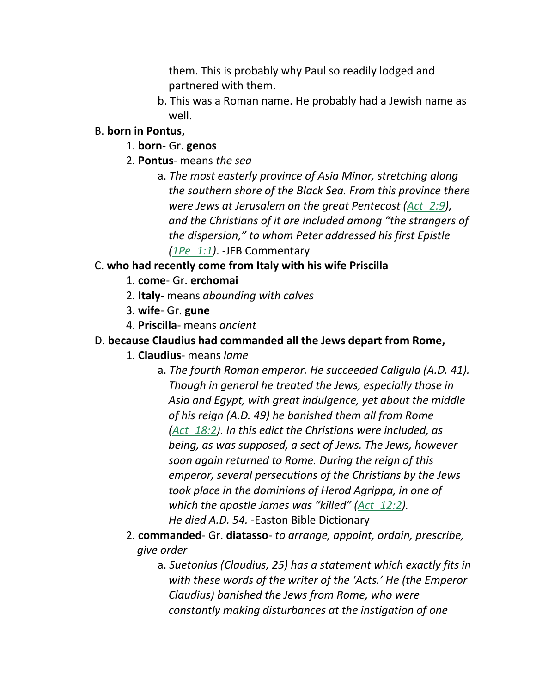them. This is probably why Paul so readily lodged and partnered with them.

b. This was a Roman name. He probably had a Jewish name as well.

### B. **born in Pontus,**

- 1. **born** Gr. **genos**
- 2. **Pontus** means *the sea*
	- a. *The most easterly province of Asia Minor, stretching along the southern shore of the Black Sea. From this province there were Jews at Jerusalem on the great Pentecost (Act\_2:9), and the Christians of it are included among "the strangers of the dispersion," to whom Peter addressed his first Epistle (1Pe\_1:1)*. -JFB Commentary

# C. **who had recently come from Italy with his wife Priscilla**

- 1. **come** Gr. **erchomai**
- 2. **Italy** means *abounding with calves*
- 3. **wife** Gr. **gune**
- 4. **Priscilla** means *ancient*

# D. **because Claudius had commanded all the Jews depart from Rome,**

- 1. **Claudius** means *lame*
	- a. *The fourth Roman emperor. He succeeded Caligula (A.D. 41). Though in general he treated the Jews, especially those in Asia and Egypt, with great indulgence, yet about the middle of his reign (A.D. 49) he banished them all from Rome (Act\_18:2). In this edict the Christians were included, as being, as was supposed, a sect of Jews. The Jews, however soon again returned to Rome. During the reign of this emperor, several persecutions of the Christians by the Jews took place in the dominions of Herod Agrippa, in one of which the apostle James was "killed" (Act\_12:2). He died A.D. 54.* -Easton Bible Dictionary
- 2. **commanded** Gr. **diatasso** *to arrange, appoint, ordain, prescribe, give order*
	- a. *Suetonius (Claudius, 25) has a statement which exactly fits in with these words of the writer of the 'Acts.' He (the Emperor Claudius) banished the Jews from Rome, who were constantly making disturbances at the instigation of one*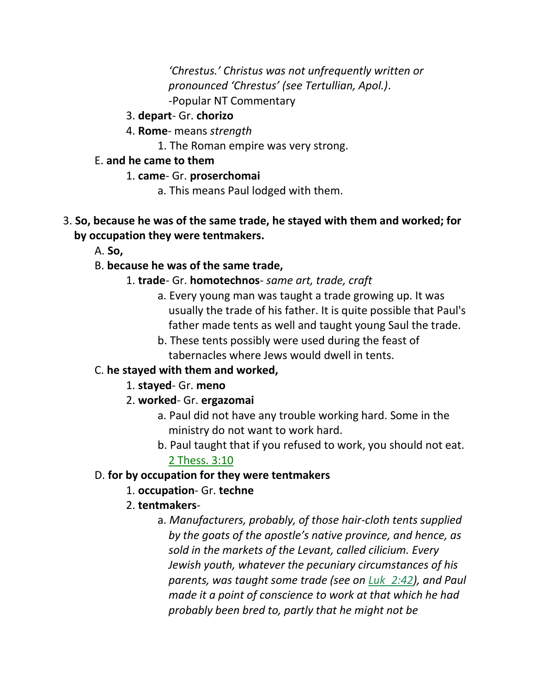*'Chrestus.' Christus was not unfrequently written or pronounced 'Chrestus' (see Tertullian, Apol.)*. -Popular NT Commentary

- 3. **depart** Gr. **chorizo**
- 4. **Rome** means *strength*

1. The Roman empire was very strong.

- E. **and he came to them**
	- 1. **came** Gr. **proserchomai**
		- a. This means Paul lodged with them.
- 3. **So, because he was of the same trade, he stayed with them and worked; for by occupation they were tentmakers.**
	- A. **So,**

# B. **because he was of the same trade,**

- 1. **trade** Gr. **homotechnos** *same art, trade, craft*
	- a. Every young man was taught a trade growing up. It was usually the trade of his father. It is quite possible that Paul's father made tents as well and taught young Saul the trade.
	- b. These tents possibly were used during the feast of tabernacles where Jews would dwell in tents.

# C. **he stayed with them and worked,**

- 1. **stayed** Gr. **meno**
- 2. **worked** Gr. **ergazomai**
	- a. Paul did not have any trouble working hard. Some in the ministry do not want to work hard.
	- b. Paul taught that if you refused to work, you should not eat. 2 Thess. 3:10

# D. **for by occupation for they were tentmakers**

1. **occupation**- Gr. **techne**

# 2. **tentmakers**-

a. *Manufacturers, probably, of those hair-cloth tents supplied by the goats of the apostle's native province, and hence, as sold in the markets of the Levant, called cilicium. Every Jewish youth, whatever the pecuniary circumstances of his parents, was taught some trade (see on Luk\_2:42), and Paul made it a point of conscience to work at that which he had probably been bred to, partly that he might not be*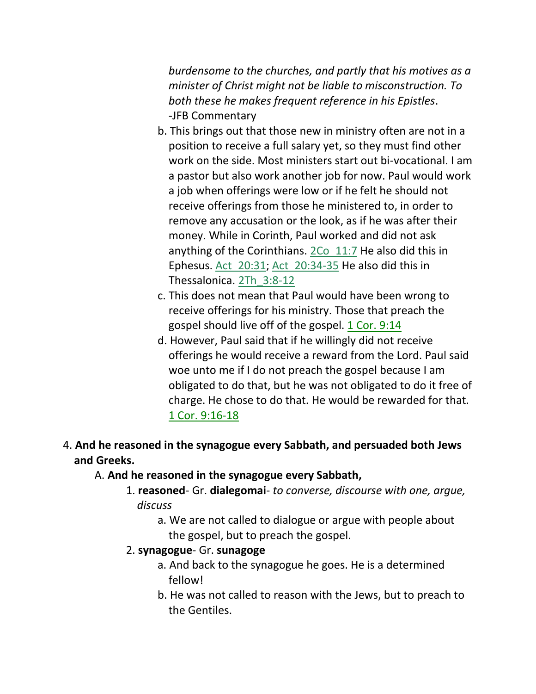*burdensome to the churches, and partly that his motives as a minister of Christ might not be liable to misconstruction. To both these he makes frequent reference in his Epistles*. -JFB Commentary

- b. This brings out that those new in ministry often are not in a position to receive a full salary yet, so they must find other work on the side. Most ministers start out bi-vocational. I am a pastor but also work another job for now. Paul would work a job when offerings were low or if he felt he should not receive offerings from those he ministered to, in order to remove any accusation or the look, as if he was after their money. While in Corinth, Paul worked and did not ask anything of the Corinthians. 2Co\_11:7 He also did this in Ephesus. Act\_20:31; Act\_20:34-35 He also did this in Thessalonica. 2Th\_3:8-12
- c. This does not mean that Paul would have been wrong to receive offerings for his ministry. Those that preach the gospel should live off of the gospel. 1 Cor. 9:14
- d. However, Paul said that if he willingly did not receive offerings he would receive a reward from the Lord. Paul said woe unto me if I do not preach the gospel because I am obligated to do that, but he was not obligated to do it free of charge. He chose to do that. He would be rewarded for that. 1 Cor. 9:16-18

# 4. **And he reasoned in the synagogue every Sabbath, and persuaded both Jews and Greeks.**

#### A. **And he reasoned in the synagogue every Sabbath,**

- 1. **reasoned** Gr. **dialegomai** *to converse, discourse with one, argue, discuss*
	- a. We are not called to dialogue or argue with people about the gospel, but to preach the gospel.
- 2. **synagogue** Gr. **sunagoge**
	- a. And back to the synagogue he goes. He is a determined fellow!
	- b. He was not called to reason with the Jews, but to preach to the Gentiles.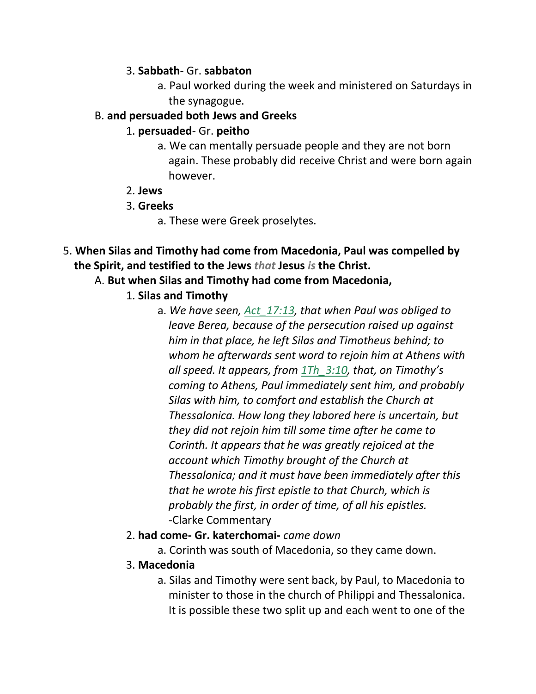#### 3. **Sabbath**- Gr. **sabbaton**

a. Paul worked during the week and ministered on Saturdays in the synagogue.

#### B. **and persuaded both Jews and Greeks**

### 1. **persuaded**- Gr. **peitho**

- a. We can mentally persuade people and they are not born again. These probably did receive Christ and were born again however.
- 2. **Jews**
- 3. **Greeks**
	- a. These were Greek proselytes.
- 5. **When Silas and Timothy had come from Macedonia, Paul was compelled by the Spirit, and testified to the Jews** *that* **Jesus** *is* **the Christ.**

# A. **But when Silas and Timothy had come from Macedonia,**

# 1. **Silas and Timothy**

a. *We have seen, Act\_17:13, that when Paul was obliged to leave Berea, because of the persecution raised up against him in that place, he left Silas and Timotheus behind; to whom he afterwards sent word to rejoin him at Athens with all speed. It appears, from 1Th\_3:10, that, on Timothy's coming to Athens, Paul immediately sent him, and probably Silas with him, to comfort and establish the Church at Thessalonica. How long they labored here is uncertain, but they did not rejoin him till some time after he came to Corinth. It appears that he was greatly rejoiced at the account which Timothy brought of the Church at Thessalonica; and it must have been immediately after this that he wrote his first epistle to that Church, which is probably the first, in order of time, of all his epistles.* -Clarke Commentary

# 2. **had come- Gr. katerchomai-** *came down*

a. Corinth was south of Macedonia, so they came down.

# 3. **Macedonia**

a. Silas and Timothy were sent back, by Paul, to Macedonia to minister to those in the church of Philippi and Thessalonica. It is possible these two split up and each went to one of the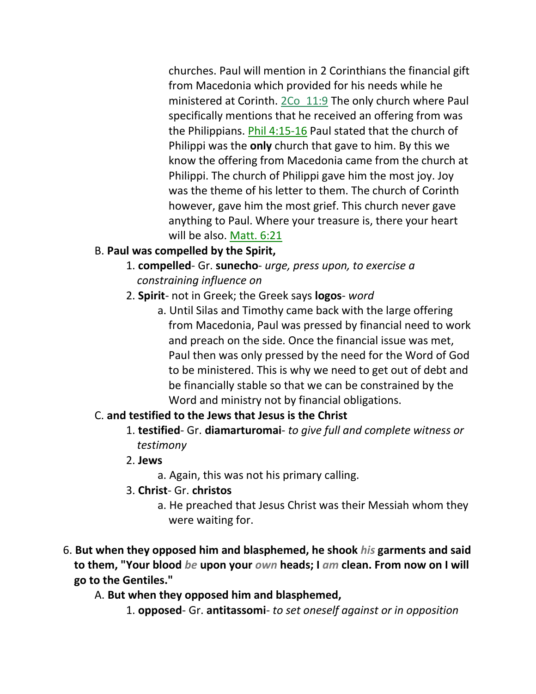churches. Paul will mention in 2 Corinthians the financial gift from Macedonia which provided for his needs while he ministered at Corinth. 2Co\_11:9 The only church where Paul specifically mentions that he received an offering from was the Philippians. Phil 4:15-16 Paul stated that the church of Philippi was the **only** church that gave to him. By this we know the offering from Macedonia came from the church at Philippi. The church of Philippi gave him the most joy. Joy was the theme of his letter to them. The church of Corinth however, gave him the most grief. This church never gave anything to Paul. Where your treasure is, there your heart will be also. Matt. 6:21

# B. **Paul was compelled by the Spirit,**

- 1. **compelled** Gr. **sunecho** *urge, press upon, to exercise a constraining influence on*
- 2. **Spirit** not in Greek; the Greek says **logos** *word*
	- a. Until Silas and Timothy came back with the large offering from Macedonia, Paul was pressed by financial need to work and preach on the side. Once the financial issue was met, Paul then was only pressed by the need for the Word of God to be ministered. This is why we need to get out of debt and be financially stable so that we can be constrained by the Word and ministry not by financial obligations.

#### C. **and testified to the Jews that Jesus is the Christ**

- 1. **testified** Gr. **diamarturomai** *to give full and complete witness or testimony*
- 2. **Jews**
	- a. Again, this was not his primary calling.
- 3. **Christ** Gr. **christos**
	- a. He preached that Jesus Christ was their Messiah whom they were waiting for.
- 6. **But when they opposed him and blasphemed, he shook** *his* **garments and said to them, "Your blood** *be* **upon your** *own* **heads; I** *am* **clean. From now on I will go to the Gentiles."**

#### A. **But when they opposed him and blasphemed,**

1. **opposed**- Gr. **antitassomi**- *to set oneself against or in opposition*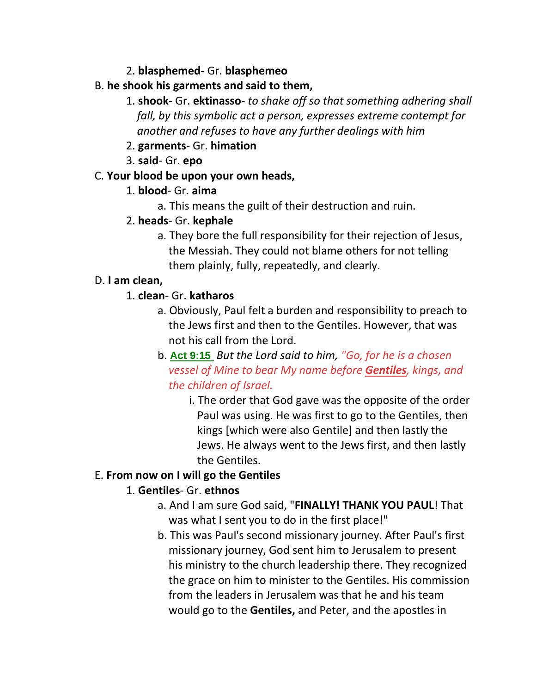2. **blasphemed**- Gr. **blasphemeo**

### B. **he shook his garments and said to them,**

1. **shook**- Gr. **ektinasso**- *to shake off so that something adhering shall fall, by this symbolic act a person, expresses extreme contempt for another and refuses to have any further dealings with him*

### 2. **garments**- Gr. **himation**

3. **said**- Gr. **epo**

### C. **Your blood be upon your own heads,**

### 1. **blood**- Gr. **aima**

a. This means the guilt of their destruction and ruin.

# 2. **heads**- Gr. **kephale**

a. They bore the full responsibility for their rejection of Jesus, the Messiah. They could not blame others for not telling them plainly, fully, repeatedly, and clearly.

### D. **I am clean,**

# 1. **clean**- Gr. **katharos**

- a. Obviously, Paul felt a burden and responsibility to preach to the Jews first and then to the Gentiles. However, that was not his call from the Lord.
- b. **Act 9:15** *But the Lord said to him, "Go, for he is a chosen vessel of Mine to bear My name before Gentiles, kings, and the children of Israel.*
	- i. The order that God gave was the opposite of the order Paul was using. He was first to go to the Gentiles, then kings [which were also Gentile] and then lastly the Jews. He always went to the Jews first, and then lastly the Gentiles.

# E. **From now on I will go the Gentiles**

# 1. **Gentiles**- Gr. **ethnos**

- a. And I am sure God said, "**FINALLY! THANK YOU PAUL**! That was what I sent you to do in the first place!"
- b. This was Paul's second missionary journey. After Paul's first missionary journey, God sent him to Jerusalem to present his ministry to the church leadership there. They recognized the grace on him to minister to the Gentiles. His commission from the leaders in Jerusalem was that he and his team would go to the **Gentiles,** and Peter, and the apostles in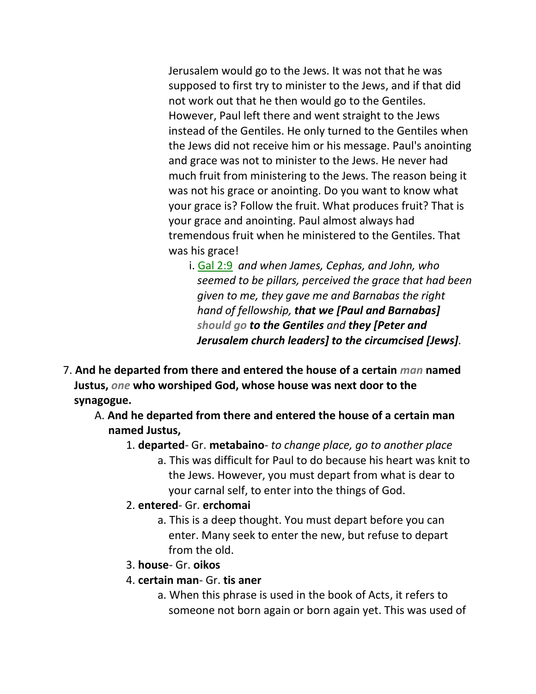Jerusalem would go to the Jews. It was not that he was supposed to first try to minister to the Jews, and if that did not work out that he then would go to the Gentiles. However, Paul left there and went straight to the Jews instead of the Gentiles. He only turned to the Gentiles when the Jews did not receive him or his message. Paul's anointing and grace was not to minister to the Jews. He never had much fruit from ministering to the Jews. The reason being it was not his grace or anointing. Do you want to know what your grace is? Follow the fruit. What produces fruit? That is your grace and anointing. Paul almost always had tremendous fruit when he ministered to the Gentiles. That was his grace!

- i. Gal 2:9 *and when James, Cephas, and John, who seemed to be pillars, perceived the grace that had been given to me, they gave me and Barnabas the right hand of fellowship, that we [Paul and Barnabas] should go to the Gentiles and they [Peter and Jerusalem church leaders] to the circumcised [Jews].*
- 7. **And he departed from there and entered the house of a certain** *man* **named Justus,** *one* **who worshiped God, whose house was next door to the synagogue.**
	- A. **And he departed from there and entered the house of a certain man named Justus,**
		- 1. **departed** Gr. **metabaino** *to change place, go to another place*
			- a. This was difficult for Paul to do because his heart was knit to the Jews. However, you must depart from what is dear to your carnal self, to enter into the things of God.
		- 2. **entered** Gr. **erchomai**
			- a. This is a deep thought. You must depart before you can enter. Many seek to enter the new, but refuse to depart from the old.
		- 3. **house** Gr. **oikos**
		- 4. **certain man** Gr. **tis aner**
			- a. When this phrase is used in the book of Acts, it refers to someone not born again or born again yet. This was used of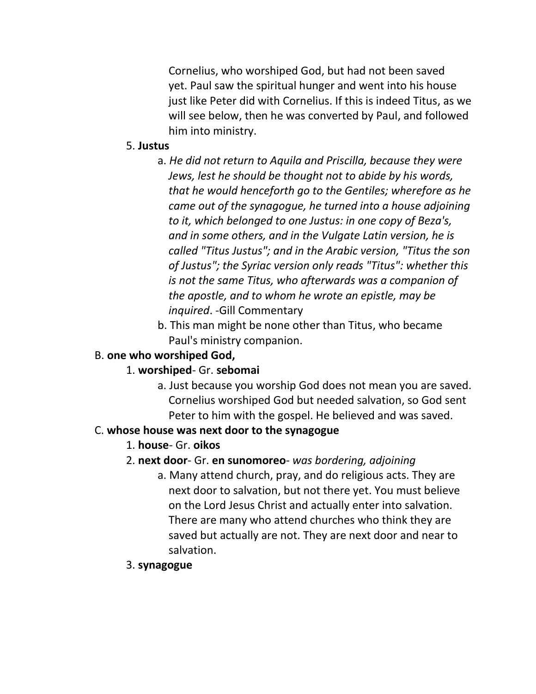Cornelius, who worshiped God, but had not been saved yet. Paul saw the spiritual hunger and went into his house just like Peter did with Cornelius. If this is indeed Titus, as we will see below, then he was converted by Paul, and followed him into ministry.

#### 5. **Justus**

- a. *He did not return to Aquila and Priscilla, because they were Jews, lest he should be thought not to abide by his words, that he would henceforth go to the Gentiles; wherefore as he came out of the synagogue, he turned into a house adjoining to it, which belonged to one Justus: in one copy of Beza's, and in some others, and in the Vulgate Latin version, he is called "Titus Justus"; and in the Arabic version, "Titus the son of Justus"; the Syriac version only reads "Titus": whether this is not the same Titus, who afterwards was a companion of the apostle, and to whom he wrote an epistle, may be inquired*. -Gill Commentary
- b. This man might be none other than Titus, who became Paul's ministry companion.

# B. **one who worshiped God,**

#### 1. **worshiped**- Gr. **sebomai**

a. Just because you worship God does not mean you are saved. Cornelius worshiped God but needed salvation, so God sent Peter to him with the gospel. He believed and was saved.

#### C. **whose house was next door to the synagogue**

# 1. **house**- Gr. **oikos**

# 2. **next door**- Gr. **en sunomoreo**- *was bordering, adjoining*

a. Many attend church, pray, and do religious acts. They are next door to salvation, but not there yet. You must believe on the Lord Jesus Christ and actually enter into salvation. There are many who attend churches who think they are saved but actually are not. They are next door and near to salvation.

#### 3. **synagogue**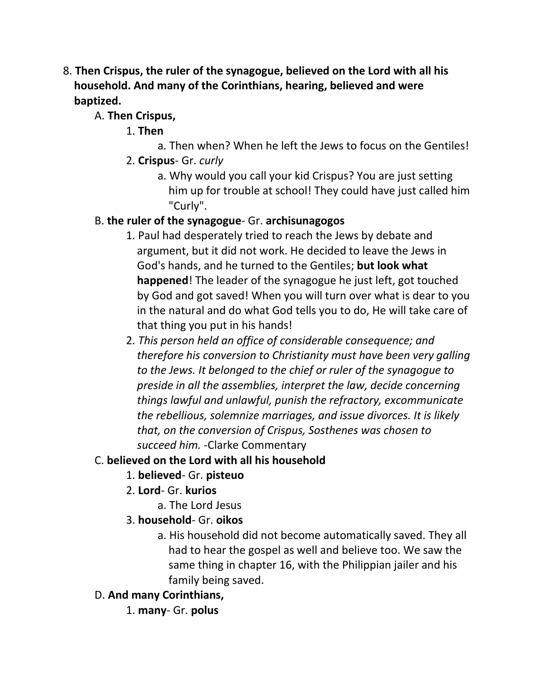- 8. **Then Crispus, the ruler of the synagogue, believed on the Lord with all his household. And many of the Corinthians, hearing, believed and were baptized.**
	- A. **Then Crispus,**
		- 1. **Then**
			- a. Then when? When he left the Jews to focus on the Gentiles!
		- 2. **Crispus** Gr. *curly*
			- a. Why would you call your kid Crispus? You are just setting him up for trouble at school! They could have just called him "Curly".

# B. **the ruler of the synagogue**- Gr. **archisunagogos**

- 1. Paul had desperately tried to reach the Jews by debate and argument, but it did not work. He decided to leave the Jews in God's hands, and he turned to the Gentiles; **but look what happened**! The leader of the synagogue he just left, got touched by God and got saved! When you will turn over what is dear to you in the natural and do what God tells you to do, He will take care of that thing you put in his hands!
- 2. *This person held an office of considerable consequence; and therefore his conversion to Christianity must have been very galling to the Jews. It belonged to the chief or ruler of the synagogue to preside in all the assemblies, interpret the law, decide concerning things lawful and unlawful, punish the refractory, excommunicate the rebellious, solemnize marriages, and issue divorces. It is likely that, on the conversion of Crispus, Sosthenes was chosen to succeed him.* -Clarke Commentary

# C. **believed on the Lord with all his household**

- 1. **believed** Gr. **pisteuo**
- 2. **Lord** Gr. **kurios**
	- a. The Lord Jesus
- 3. **household** Gr. **oikos**
	- a. His household did not become automatically saved. They all had to hear the gospel as well and believe too. We saw the same thing in chapter 16, with the Philippian jailer and his family being saved.
- D. **And many Corinthians,**
	- 1. **many** Gr. **polus**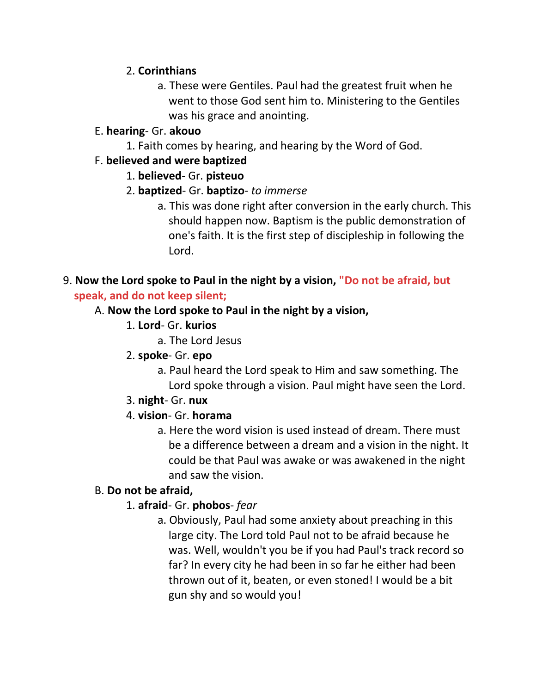### 2. **Corinthians**

a. These were Gentiles. Paul had the greatest fruit when he went to those God sent him to. Ministering to the Gentiles was his grace and anointing.

### E. **hearing**- Gr. **akouo**

1. Faith comes by hearing, and hearing by the Word of God.

### F. **believed and were baptized**

- 1. **believed** Gr. **pisteuo**
- 2. **baptized** Gr. **baptizo** *to immerse*
	- a. This was done right after conversion in the early church. This should happen now. Baptism is the public demonstration of one's faith. It is the first step of discipleship in following the Lord.

### 9. **Now the Lord spoke to Paul in the night by a vision, "Do not be afraid, but speak, and do not keep silent;**

### A. **Now the Lord spoke to Paul in the night by a vision,**

- 1. **Lord** Gr. **kurios**
	- a. The Lord Jesus
- 2. **spoke** Gr. **epo**
	- a. Paul heard the Lord speak to Him and saw something. The Lord spoke through a vision. Paul might have seen the Lord.
- 3. **night** Gr. **nux**

# 4. **vision**- Gr. **horama**

a. Here the word vision is used instead of dream. There must be a difference between a dream and a vision in the night. It could be that Paul was awake or was awakened in the night and saw the vision.

# B. **Do not be afraid,**

# 1. **afraid**- Gr. **phobos**- *fear*

a. Obviously, Paul had some anxiety about preaching in this large city. The Lord told Paul not to be afraid because he was. Well, wouldn't you be if you had Paul's track record so far? In every city he had been in so far he either had been thrown out of it, beaten, or even stoned! I would be a bit gun shy and so would you!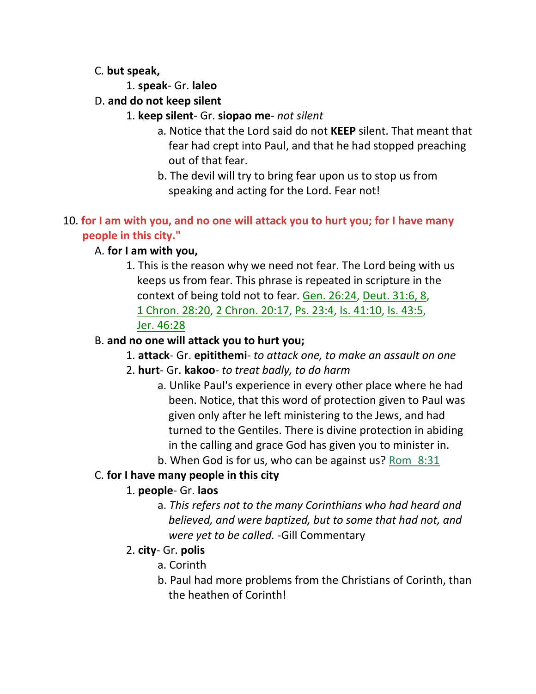### C. **but speak,**

- 1. **speak** Gr. **laleo**
- D. **and do not keep silent**
	- 1. **keep silent** Gr. **siopao me** *not silent*
		- a. Notice that the Lord said do not **KEEP** silent. That meant that fear had crept into Paul, and that he had stopped preaching out of that fear.
		- b. The devil will try to bring fear upon us to stop us from speaking and acting for the Lord. Fear not!

# 10. **for I am with you, and no one will attack you to hurt you; for I have many people in this city."**

# A. **for I am with you,**

1. This is the reason why we need not fear. The Lord being with us keeps us from fear. This phrase is repeated in scripture in the context of being told not to fear. Gen. 26:24, Deut. 31:6, 8, 1 Chron. 28:20, 2 Chron. 20:17, Ps. 23:4, Is. 41:10, Is. 43:5, Jer. 46:28

# B. **and no one will attack you to hurt you;**

- 1. **attack** Gr. **epitithemi** *to attack one, to make an assault on one*
- 2. **hurt** Gr. **kakoo** *to treat badly, to do harm*
	- a. Unlike Paul's experience in every other place where he had been. Notice, that this word of protection given to Paul was given only after he left ministering to the Jews, and had turned to the Gentiles. There is divine protection in abiding in the calling and grace God has given you to minister in.
	- b. When God is for us, who can be against us? Rom\_8:31

# C. **for I have many people in this city**

# 1. **people**- Gr. **laos**

a. *This refers not to the many Corinthians who had heard and believed, and were baptized, but to some that had not, and were yet to be called.* -Gill Commentary

# 2. **city**- Gr. **polis**

- a. Corinth
- b. Paul had more problems from the Christians of Corinth, than the heathen of Corinth!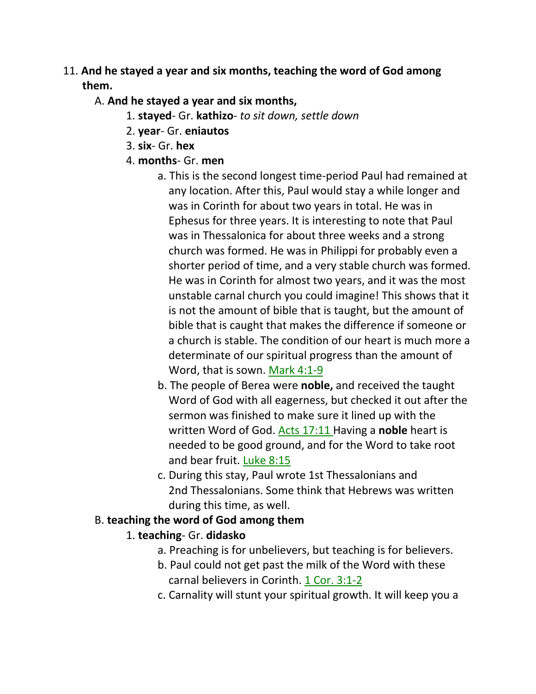# 11. **And he stayed a year and six months, teaching the word of God among them.**

### A. **And he stayed a year and six months,**

- 1. **stayed** Gr. **kathizo** *to sit down, settle down*
- 2. **year** Gr. **eniautos**
- 3. **six** Gr. **hex**
- 4. **months** Gr. **men**
	- a. This is the second longest time-period Paul had remained at any location. After this, Paul would stay a while longer and was in Corinth for about two years in total. He was in Ephesus for three years. It is interesting to note that Paul was in Thessalonica for about three weeks and a strong church was formed. He was in Philippi for probably even a shorter period of time, and a very stable church was formed. He was in Corinth for almost two years, and it was the most unstable carnal church you could imagine! This shows that it is not the amount of bible that is taught, but the amount of bible that is caught that makes the difference if someone or a church is stable. The condition of our heart is much more a determinate of our spiritual progress than the amount of Word, that is sown. Mark 4:1-9
	- b. The people of Berea were **noble,** and received the taught Word of God with all eagerness, but checked it out after the sermon was finished to make sure it lined up with the written Word of God. Acts 17:11 Having a **noble** heart is needed to be good ground, and for the Word to take root and bear fruit. Luke 8:15
	- c. During this stay, Paul wrote 1st Thessalonians and 2nd Thessalonians. Some think that Hebrews was written during this time, as well.

# B. **teaching the word of God among them**

# 1. **teaching**- Gr. **didasko**

- a. Preaching is for unbelievers, but teaching is for believers.
- b. Paul could not get past the milk of the Word with these carnal believers in Corinth. 1 Cor. 3:1-2
- c. Carnality will stunt your spiritual growth. It will keep you a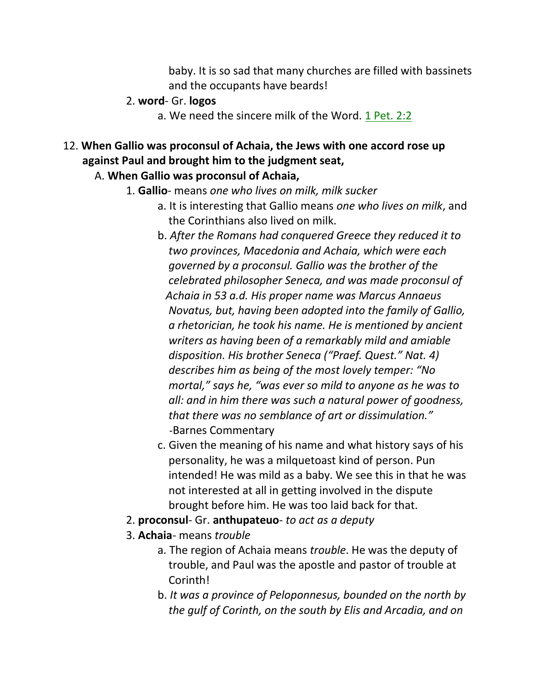baby. It is so sad that many churches are filled with bassinets and the occupants have beards!

#### 2. **word**- Gr. **logos**

a. We need the sincere milk of the Word. 1 Pet. 2:2

# 12. **When Gallio was proconsul of Achaia, the Jews with one accord rose up against Paul and brought him to the judgment seat,**

### A. **When Gallio was proconsul of Achaia,**

- 1. **Gallio** means *one who lives on milk, milk sucker*
	- a. It is interesting that Gallio means *one who lives on milk*, and the Corinthians also lived on milk.
	- b. *After the Romans had conquered Greece they reduced it to two provinces, Macedonia and Achaia, which were each governed by a proconsul. Gallio was the brother of the celebrated philosopher Seneca, and was made proconsul of Achaia in 53 a.d. His proper name was Marcus Annaeus Novatus, but, having been adopted into the family of Gallio, a rhetorician, he took his name. He is mentioned by ancient writers as having been of a remarkably mild and amiable disposition. His brother Seneca ("Praef. Quest." Nat. 4) describes him as being of the most lovely temper: "No mortal," says he, "was ever so mild to anyone as he was to all: and in him there was such a natural power of goodness, that there was no semblance of art or dissimulation."* -Barnes Commentary
	- c. Given the meaning of his name and what history says of his personality, he was a milquetoast kind of person. Pun intended! He was mild as a baby. We see this in that he was not interested at all in getting involved in the dispute brought before him. He was too laid back for that.
- 2. **proconsul** Gr. **anthupateuo** *to act as a deputy*
- 3. **Achaia** means *trouble*
	- a. The region of Achaia means *trouble*. He was the deputy of trouble, and Paul was the apostle and pastor of trouble at Corinth!
	- b. *It was a province of Peloponnesus, bounded on the north by the gulf of Corinth, on the south by Elis and Arcadia, and on*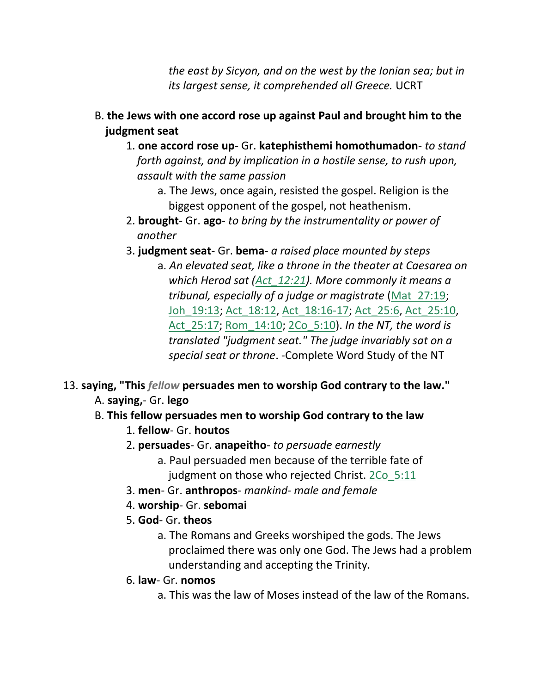*the east by Sicyon, and on the west by the Ionian sea; but in its largest sense, it comprehended all Greece.* UCRT

- B. **the Jews with one accord rose up against Paul and brought him to the judgment seat**
	- 1. **one accord rose up** Gr. **katephisthemi homothumadon** *to stand forth against, and by implication in a hostile sense, to rush upon, assault with the same passion*
		- a. The Jews, once again, resisted the gospel. Religion is the biggest opponent of the gospel, not heathenism.
	- 2. **brought** Gr. **ago** *to bring by the instrumentality or power of another*
	- 3. **judgment seat** Gr. **bema** *a raised place mounted by steps*
		- a. *An elevated seat, like a throne in the theater at Caesarea on which Herod sat (Act\_12:21). More commonly it means a tribunal, especially of a judge or magistrate* (Mat\_27:19; Joh\_19:13; Act\_18:12, Act\_18:16-17; Act\_25:6, Act\_25:10, Act\_25:17; Rom\_14:10; 2Co\_5:10). *In the NT, the word is translated "judgment seat." The judge invariably sat on a special seat or throne*. -Complete Word Study of the NT

# 13. **saying, "This** *fellow* **persuades men to worship God contrary to the law."** A. **saying,**- Gr. **lego**

# B. **This fellow persuades men to worship God contrary to the law**

- 1. **fellow** Gr. **houtos**
- 2. **persuades** Gr. **anapeitho** *to persuade earnestly*
	- a. Paul persuaded men because of the terrible fate of judgment on those who rejected Christ. 2Co\_5:11
- 3. **men** Gr. **anthropos** *mankind- male and female*
- 4. **worship** Gr. **sebomai**
- 5. **God** Gr. **theos**
	- a. The Romans and Greeks worshiped the gods. The Jews proclaimed there was only one God. The Jews had a problem understanding and accepting the Trinity.
- 6. **law** Gr. **nomos**
	- a. This was the law of Moses instead of the law of the Romans.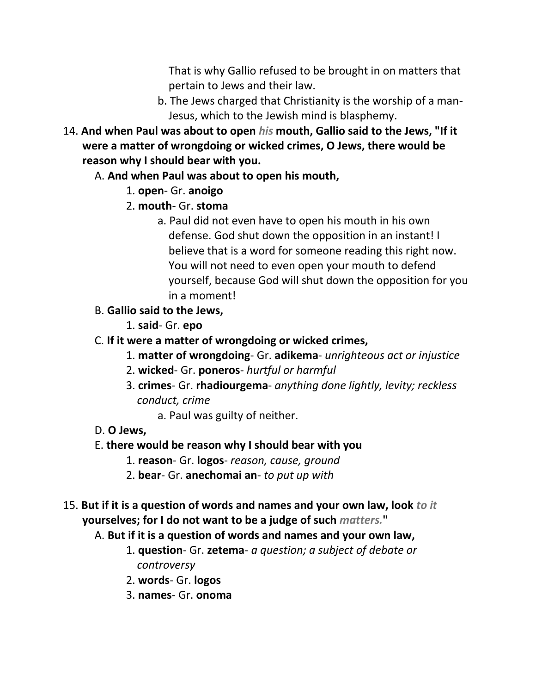That is why Gallio refused to be brought in on matters that pertain to Jews and their law.

- b. The Jews charged that Christianity is the worship of a man- Jesus, which to the Jewish mind is blasphemy.
- 14. **And when Paul was about to open** *his* **mouth, Gallio said to the Jews, "If it were a matter of wrongdoing or wicked crimes, O Jews, there would be reason why I should bear with you.**

# A. **And when Paul was about to open his mouth,**

- 1. **open** Gr. **anoigo**
- 2. **mouth** Gr. **stoma**
	- a. Paul did not even have to open his mouth in his own defense. God shut down the opposition in an instant! I believe that is a word for someone reading this right now. You will not need to even open your mouth to defend yourself, because God will shut down the opposition for you in a moment!
- B. **Gallio said to the Jews,**
	- 1. **said** Gr. **epo**
- C. **If it were a matter of wrongdoing or wicked crimes,**
	- 1. **matter of wrongdoing** Gr. **adikema** *unrighteous act or injustice*
	- 2. **wicked** Gr. **poneros** *hurtful or harmful*
	- 3. **crimes** Gr. **rhadiourgema** *anything done lightly, levity; reckless conduct, crime*
		- a. Paul was guilty of neither.
- D. **O Jews,**

#### E. **there would be reason why I should bear with you**

- 1. **reason** Gr. **logos** *reason, cause, ground*
- 2. **bear** Gr. **anechomai an** *to put up with*
- 15. **But if it is a question of words and names and your own law, look** *to it*  **yourselves; for I do not want to be a judge of such** *matters.***"**
	- A. **But if it is a question of words and names and your own law,**
		- 1. **question** Gr. **zetema** *a question; a subject of debate or controversy*
		- 2. **words** Gr. **logos**
		- 3. **names** Gr. **onoma**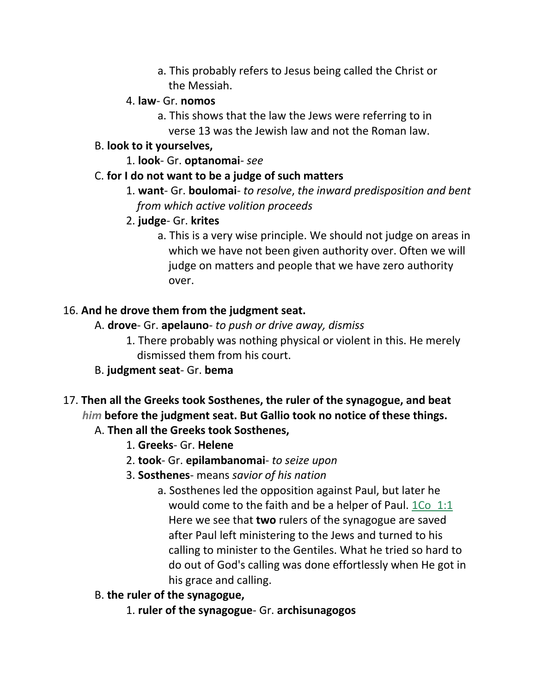a. This probably refers to Jesus being called the Christ or the Messiah.

#### 4. **law**- Gr. **nomos**

a. This shows that the law the Jews were referring to in verse 13 was the Jewish law and not the Roman law.

### B. **look to it yourselves,**

1. **look**- Gr. **optanomai**- *see* 

#### C. **for I do not want to be a judge of such matters**

1. **want**- Gr. **boulomai**- *to resolve*, *the inward predisposition and bent from which active volition proceeds* 

### 2. **judge**- Gr. **krites**

a. This is a very wise principle. We should not judge on areas in which we have not been given authority over. Often we will judge on matters and people that we have zero authority over.

### 16. **And he drove them from the judgment seat.**

- A. **drove** Gr. **apelauno** *to push or drive away, dismiss*
	- 1. There probably was nothing physical or violent in this. He merely dismissed them from his court.
- B. **judgment seat** Gr. **bema**
- 17. **Then all the Greeks took Sosthenes, the ruler of the synagogue, and beat** *him* **before the judgment seat. But Gallio took no notice of these things.**

# A. **Then all the Greeks took Sosthenes,**

- 1. **Greeks** Gr. **Helene**
- 2. **took** Gr. **epilambanomai** *to seize upon*
- 3. **Sosthenes** means *savior of his nation*
	- a. Sosthenes led the opposition against Paul, but later he would come to the faith and be a helper of Paul. 1Co 1:1 Here we see that **two** rulers of the synagogue are saved after Paul left ministering to the Jews and turned to his calling to minister to the Gentiles. What he tried so hard to do out of God's calling was done effortlessly when He got in his grace and calling.
- B. **the ruler of the synagogue,**
	- 1. **ruler of the synagogue** Gr. **archisunagogos**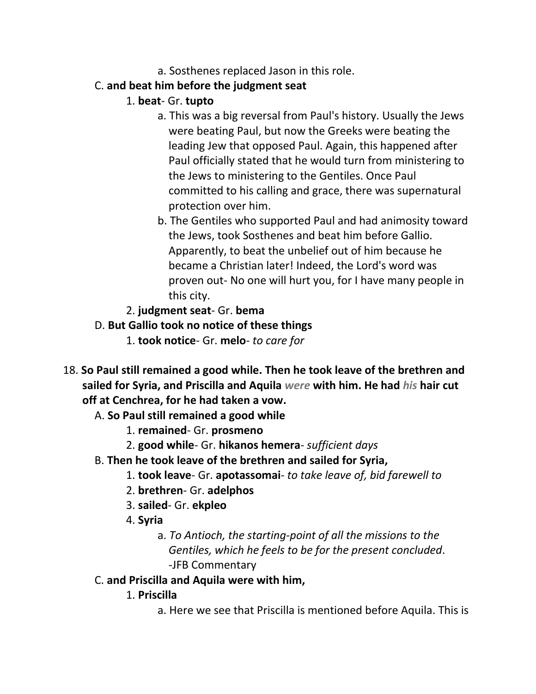a. Sosthenes replaced Jason in this role.

# C. **and beat him before the judgment seat**

# 1. **beat**- Gr. **tupto**

- a. This was a big reversal from Paul's history. Usually the Jews were beating Paul, but now the Greeks were beating the leading Jew that opposed Paul. Again, this happened after Paul officially stated that he would turn from ministering to the Jews to ministering to the Gentiles. Once Paul committed to his calling and grace, there was supernatural protection over him.
- b. The Gentiles who supported Paul and had animosity toward the Jews, took Sosthenes and beat him before Gallio. Apparently, to beat the unbelief out of him because he became a Christian later! Indeed, the Lord's word was proven out- No one will hurt you, for I have many people in this city.
- 2. **judgment seat** Gr. **bema**
- D. **But Gallio took no notice of these things**
	- 1. **took notice** Gr. **melo** *to care for*
- 18. **So Paul still remained a good while. Then he took leave of the brethren and sailed for Syria, and Priscilla and Aquila** *were* **with him. He had** *his* **hair cut off at Cenchrea, for he had taken a vow.**
	- A. **So Paul still remained a good while**
		- 1. **remained** Gr. **prosmeno**
		- 2. **good while** Gr. **hikanos hemera** *sufficient days*
	- B. **Then he took leave of the brethren and sailed for Syria,**
		- 1. **took leave** Gr. **apotassomai** *to take leave of, bid farewell to*
		- 2. **brethren** Gr. **adelphos**
		- 3. **sailed** Gr. **ekpleo**
		- 4. **Syria**
			- a. *To Antioch, the starting-point of all the missions to the Gentiles, which he feels to be for the present concluded*. -JFB Commentary
	- C. **and Priscilla and Aquila were with him,**
		- 1. **Priscilla**
			- a. Here we see that Priscilla is mentioned before Aquila. This is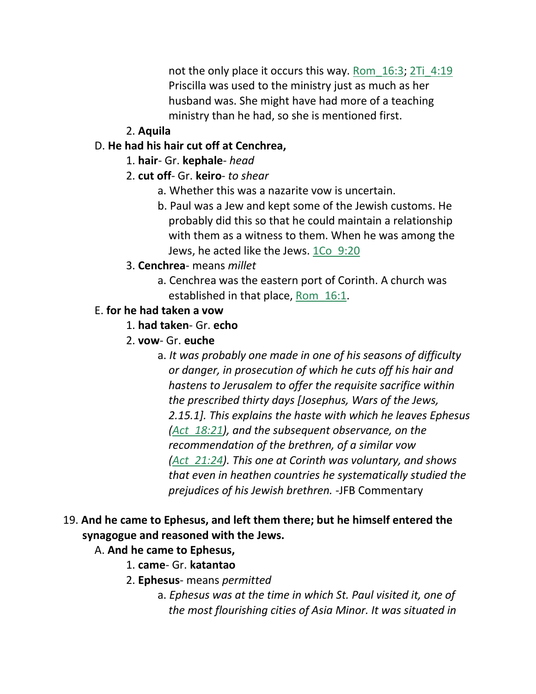not the only place it occurs this way. Rom 16:3; 2Ti 4:19 Priscilla was used to the ministry just as much as her husband was. She might have had more of a teaching ministry than he had, so she is mentioned first.

### 2. **Aquila**

### D. **He had his hair cut off at Cenchrea,**

- 1. **hair** Gr. **kephale** *head*
- 2. **cut off** Gr. **keiro** *to shear*
	- a. Whether this was a nazarite vow is uncertain.
	- b. Paul was a Jew and kept some of the Jewish customs. He probably did this so that he could maintain a relationship with them as a witness to them. When he was among the Jews, he acted like the Jews. 1Co 9:20
- 3. **Cenchrea** means *millet*
	- a. Cenchrea was the eastern port of Corinth. A church was established in that place, Rom\_16:1.

### E. **for he had taken a vow**

- 1. **had taken** Gr. **echo**
- 2. **vow** Gr. **euche**
	- a. *It was probably one made in one of his seasons of difficulty or danger, in prosecution of which he cuts off his hair and hastens to Jerusalem to offer the requisite sacrifice within the prescribed thirty days [Josephus, Wars of the Jews, 2.15.1]. This explains the haste with which he leaves Ephesus (Act\_18:21), and the subsequent observance, on the recommendation of the brethren, of a similar vow (Act\_21:24). This one at Corinth was voluntary, and shows that even in heathen countries he systematically studied the prejudices of his Jewish brethren.* -JFB Commentary

# 19. **And he came to Ephesus, and left them there; but he himself entered the synagogue and reasoned with the Jews.**

#### A. **And he came to Ephesus,**

- 1. **came** Gr. **katantao**
- 2. **Ephesus** means *permitted*
	- a. *Ephesus was at the time in which St. Paul visited it, one of the most flourishing cities of Asia Minor. It was situated in*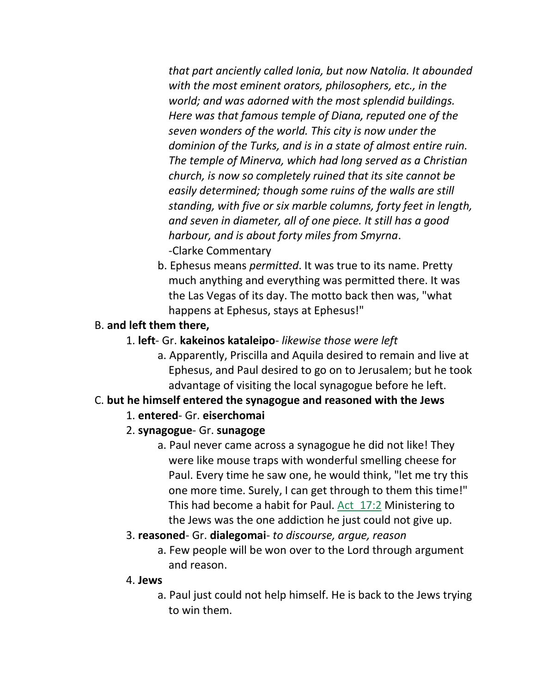*that part anciently called Ionia, but now Natolia. It abounded with the most eminent orators, philosophers, etc., in the world; and was adorned with the most splendid buildings. Here was that famous temple of Diana, reputed one of the seven wonders of the world. This city is now under the dominion of the Turks, and is in a state of almost entire ruin. The temple of Minerva, which had long served as a Christian church, is now so completely ruined that its site cannot be easily determined; though some ruins of the walls are still standing, with five or six marble columns, forty feet in length, and seven in diameter, all of one piece. It still has a good harbour, and is about forty miles from Smyrna*. -Clarke Commentary

b. Ephesus means *permitted*. It was true to its name. Pretty much anything and everything was permitted there. It was the Las Vegas of its day. The motto back then was, "what happens at Ephesus, stays at Ephesus!"

### B. **and left them there,**

- 1. **left** Gr. **kakeinos kataleipo** *likewise those were left*
	- a. Apparently, Priscilla and Aquila desired to remain and live at Ephesus, and Paul desired to go on to Jerusalem; but he took advantage of visiting the local synagogue before he left.

#### C. **but he himself entered the synagogue and reasoned with the Jews**

- 1. **entered** Gr. **eiserchomai**
- 2. **synagogue** Gr. **sunagoge**
	- a. Paul never came across a synagogue he did not like! They were like mouse traps with wonderful smelling cheese for Paul. Every time he saw one, he would think, "let me try this one more time. Surely, I can get through to them this time!" This had become a habit for Paul. Act 17:2 Ministering to the Jews was the one addiction he just could not give up.
- 3. **reasoned** Gr. **dialegomai** *to discourse, argue, reason*
	- a. Few people will be won over to the Lord through argument and reason.

#### 4. **Jews**

a. Paul just could not help himself. He is back to the Jews trying to win them.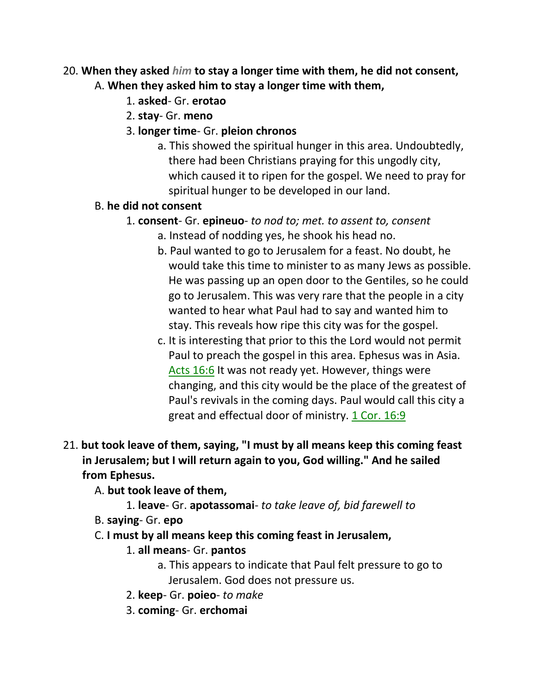### 20. **When they asked** *him* **to stay a longer time with them, he did not consent,** A. **When they asked him to stay a longer time with them,**

- 1. **asked** Gr. **erotao**
- 2. **stay** Gr. **meno**
- 3. **longer time** Gr. **pleion chronos**
	- a. This showed the spiritual hunger in this area. Undoubtedly, there had been Christians praying for this ungodly city, which caused it to ripen for the gospel. We need to pray for spiritual hunger to be developed in our land.

### B. **he did not consent**

#### 1. **consent**- Gr. **epineuo**- *to nod to; met. to assent to, consent*

- a. Instead of nodding yes, he shook his head no.
- b. Paul wanted to go to Jerusalem for a feast. No doubt, he would take this time to minister to as many Jews as possible. He was passing up an open door to the Gentiles, so he could go to Jerusalem. This was very rare that the people in a city wanted to hear what Paul had to say and wanted him to stay. This reveals how ripe this city was for the gospel.
- c. It is interesting that prior to this the Lord would not permit Paul to preach the gospel in this area. Ephesus was in Asia. Acts 16:6 It was not ready yet. However, things were changing, and this city would be the place of the greatest of Paul's revivals in the coming days. Paul would call this city a great and effectual door of ministry. 1 Cor. 16:9

# 21. **but took leave of them, saying, "I must by all means keep this coming feast in Jerusalem; but I will return again to you, God willing." And he sailed from Ephesus.**

#### A. **but took leave of them,**

- 1. **leave** Gr. **apotassomai** *to take leave of, bid farewell to*
- B. **saying** Gr. **epo**
- C. **I must by all means keep this coming feast in Jerusalem,**

# 1. **all means**- Gr. **pantos**

- a. This appears to indicate that Paul felt pressure to go to Jerusalem. God does not pressure us.
- 2. **keep** Gr. **poieo** *to make*
- 3. **coming** Gr. **erchomai**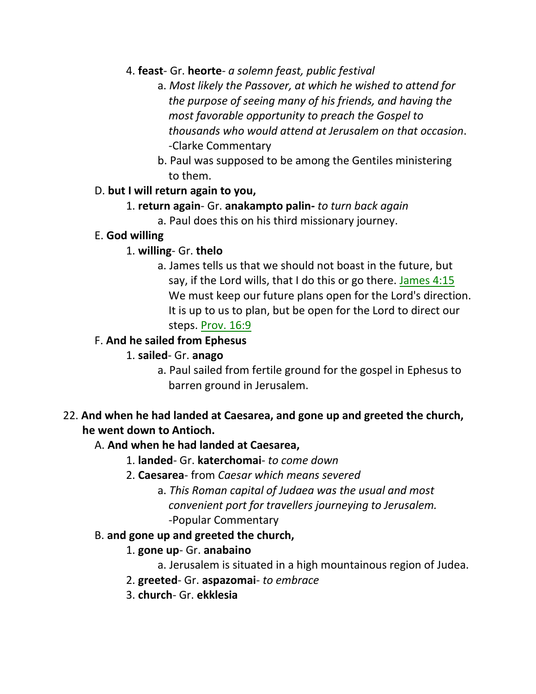### 4. **feast**- Gr. **heorte**- *a solemn feast, public festival*

- a. *Most likely the Passover, at which he wished to attend for the purpose of seeing many of his friends, and having the most favorable opportunity to preach the Gospel to thousands who would attend at Jerusalem on that occasion*. -Clarke Commentary
- b. Paul was supposed to be among the Gentiles ministering to them.

#### D. **but I will return again to you,**

# 1. **return again**- Gr. **anakampto palin-** *to turn back again*

a. Paul does this on his third missionary journey.

#### E. **God willing**

#### 1. **willing**- Gr. **thelo**

a. James tells us that we should not boast in the future, but say, if the Lord wills, that I do this or go there. James 4:15 We must keep our future plans open for the Lord's direction. It is up to us to plan, but be open for the Lord to direct our steps. Prov. 16:9

### F. **And he sailed from Ephesus**

#### 1. **sailed**- Gr. **anago**

a. Paul sailed from fertile ground for the gospel in Ephesus to barren ground in Jerusalem.

# 22. **And when he had landed at Caesarea, and gone up and greeted the church, he went down to Antioch.**

#### A. **And when he had landed at Caesarea,**

#### 1. **landed**- Gr. **katerchomai**- *to come down*

- 2. **Caesarea** from *Caesar which means severed*
	- a. *This Roman capital of Judaea was the usual and most convenient port for travellers journeying to Jerusalem.* -Popular Commentary

#### B. **and gone up and greeted the church,**

#### 1. **gone up**- Gr. **anabaino**

a. Jerusalem is situated in a high mountainous region of Judea.

- 2. **greeted** Gr. **aspazomai** *to embrace*
- 3. **church** Gr. **ekklesia**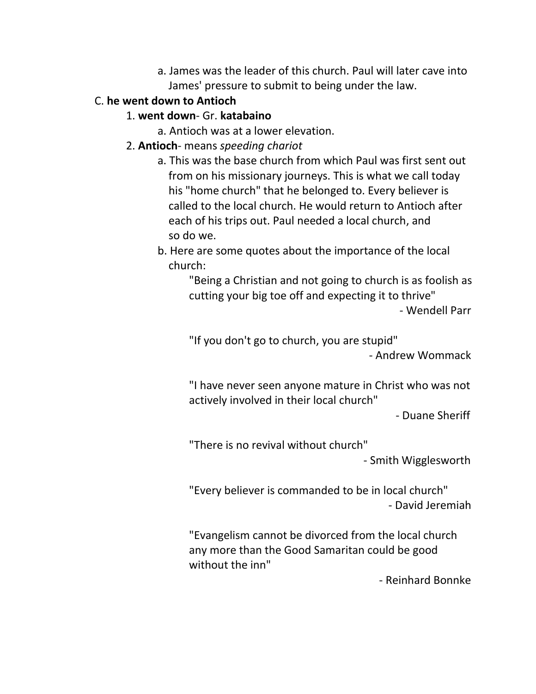a. James was the leader of this church. Paul will later cave into James' pressure to submit to being under the law.

# C. **he went down to Antioch**

### 1. **went down**- Gr. **katabaino**

- a. Antioch was at a lower elevation.
- 2. **Antioch** means *speeding chariot*
	- a. This was the base church from which Paul was first sent out from on his missionary journeys. This is what we call today his "home church" that he belonged to. Every believer is called to the local church. He would return to Antioch after each of his trips out. Paul needed a local church, and so do we.
	- b. Here are some quotes about the importance of the local church:

"Being a Christian and not going to church is as foolish as cutting your big toe off and expecting it to thrive" - Wendell Parr

"If you don't go to church, you are stupid" - Andrew Wommack

"I have never seen anyone mature in Christ who was not actively involved in their local church"

- Duane Sheriff

"There is no revival without church"

- Smith Wigglesworth

"Every believer is commanded to be in local church" - David Jeremiah

"Evangelism cannot be divorced from the local church any more than the Good Samaritan could be good without the inn"

- Reinhard Bonnke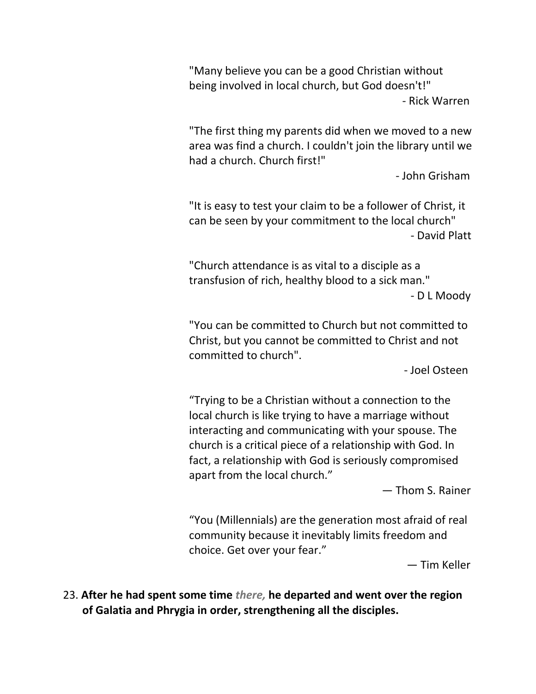"Many believe you can be a good Christian without being involved in local church, but God doesn't!" - Rick Warren

"The first thing my parents did when we moved to a new area was find a church. I couldn't join the library until we had a church. Church first!"

- John Grisham

"It is easy to test your claim to be a follower of Christ, it can be seen by your commitment to the local church" - David Platt

"Church attendance is as vital to a disciple as a transfusion of rich, healthy blood to a sick man." - D L Moody

"You can be committed to Church but not committed to Christ, but you cannot be committed to Christ and not committed to church".

- Joel Osteen

"Trying to be a Christian without a connection to the local church is like trying to have a marriage without interacting and communicating with your spouse. The church is a critical piece of a relationship with God. In fact, a relationship with God is seriously compromised apart from the local church."

― Thom S. Rainer

"You (Millennials) are the generation most afraid of real community because it inevitably limits freedom and choice. Get over your fear."

― Tim Keller

23. **After he had spent some time** *there,* **he departed and went over the region of Galatia and Phrygia in order, strengthening all the disciples.**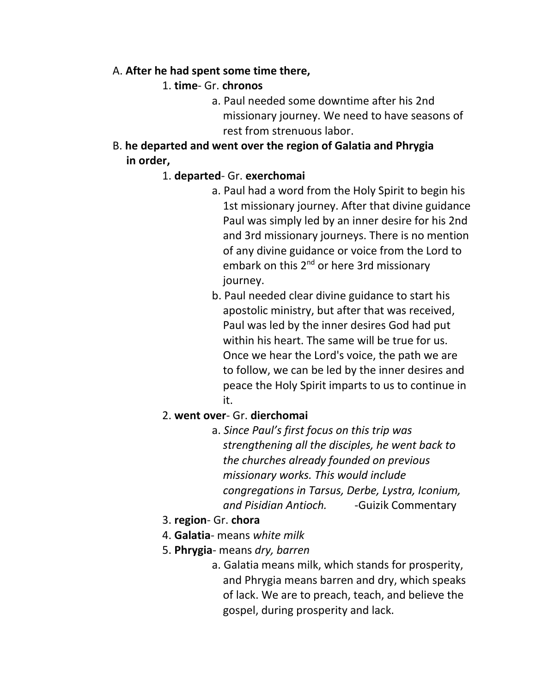#### A. **After he had spent some time there,**

- 1. **time** Gr. **chronos**
	- a. Paul needed some downtime after his 2nd missionary journey. We need to have seasons of rest from strenuous labor.
- B. **he departed and went over the region of Galatia and Phrygia in order,**

#### 1. **departed**- Gr. **exerchomai**

- a. Paul had a word from the Holy Spirit to begin his 1st missionary journey. After that divine guidance Paul was simply led by an inner desire for his 2nd and 3rd missionary journeys. There is no mention of any divine guidance or voice from the Lord to embark on this 2<sup>nd</sup> or here 3rd missionary journey.
- b. Paul needed clear divine guidance to start his apostolic ministry, but after that was received, Paul was led by the inner desires God had put within his heart. The same will be true for us. Once we hear the Lord's voice, the path we are to follow, we can be led by the inner desires and peace the Holy Spirit imparts to us to continue in it.

### 2. **went over**- Gr. **dierchomai**

- a. *Since Paul's first focus on this trip was strengthening all the disciples, he went back to the churches already founded on previous missionary works. This would include congregations in Tarsus, Derbe, Lystra, Iconium, and Pisidian Antioch.* -Guizik Commentary
- 3. **region** Gr. **chora**
- 4. **Galatia** means *white milk*
- 5. **Phrygia** means *dry, barren*
	- a. Galatia means milk, which stands for prosperity, and Phrygia means barren and dry, which speaks of lack. We are to preach, teach, and believe the gospel, during prosperity and lack.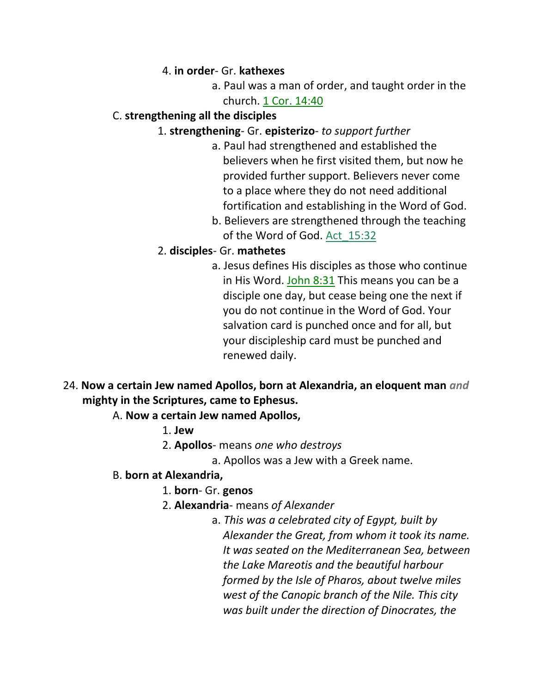#### 4. **in order**- Gr. **kathexes**

a. Paul was a man of order, and taught order in the church. 1 Cor. 14:40

### C. **strengthening all the disciples**

- 1. **strengthening** Gr. **episterizo** *to support further*
	- a. Paul had strengthened and established the believers when he first visited them, but now he provided further support. Believers never come to a place where they do not need additional fortification and establishing in the Word of God.
	- b. Believers are strengthened through the teaching of the Word of God. Act\_15:32

### 2. **disciples**- Gr. **mathetes**

- a. Jesus defines His disciples as those who continue in His Word. John 8:31 This means you can be a disciple one day, but cease being one the next if you do not continue in the Word of God. Your salvation card is punched once and for all, but your discipleship card must be punched and renewed daily.
- 24. **Now a certain Jew named Apollos, born at Alexandria, an eloquent man** *and*  **mighty in the Scriptures, came to Ephesus.**

#### A. **Now a certain Jew named Apollos,**

- 1. **Jew**
- 2. **Apollos** means *one who destroys*
	- a. Apollos was a Jew with a Greek name.

# B. **born at Alexandria,**

- 1. **born** Gr. **genos**
- 2. **Alexandria** means *of Alexander*
	- a. *This was a celebrated city of Egypt, built by Alexander the Great, from whom it took its name. It was seated on the Mediterranean Sea, between the Lake Mareotis and the beautiful harbour formed by the Isle of Pharos, about twelve miles west of the Canopic branch of the Nile. This city was built under the direction of Dinocrates, the*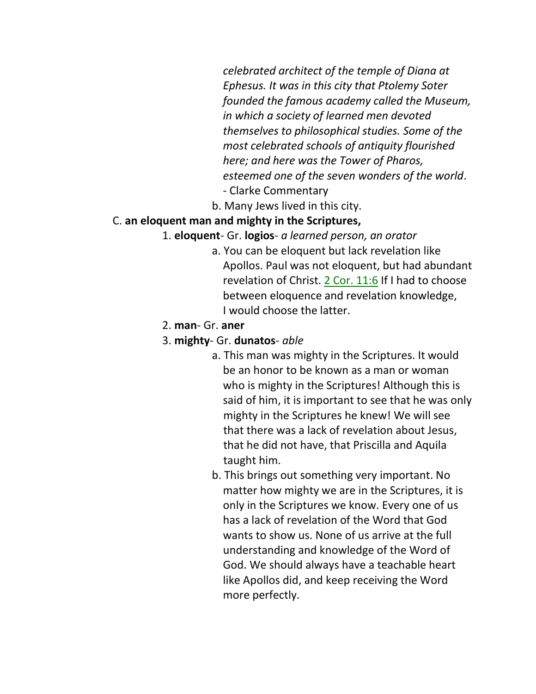*celebrated architect of the temple of Diana at Ephesus. It was in this city that Ptolemy Soter founded the famous academy called the Museum, in which a society of learned men devoted themselves to philosophical studies. Some of the most celebrated schools of antiquity flourished here; and here was the Tower of Pharos, esteemed one of the seven wonders of the world*. - Clarke Commentary

b. Many Jews lived in this city.

#### C. **an eloquent man and mighty in the Scriptures,**

- 1. **eloquent** Gr. **logios** *a learned person, an orator*
	- a. You can be eloquent but lack revelation like Apollos. Paul was not eloquent, but had abundant revelation of Christ. 2 Cor. 11:6 If I had to choose between eloquence and revelation knowledge, I would choose the latter.
- 2. **man** Gr. **aner**
- 3. **mighty** Gr. **dunatos** *able*
	- a. This man was mighty in the Scriptures. It would be an honor to be known as a man or woman who is mighty in the Scriptures! Although this is said of him, it is important to see that he was only mighty in the Scriptures he knew! We will see that there was a lack of revelation about Jesus, that he did not have, that Priscilla and Aquila taught him.
	- b. This brings out something very important. No matter how mighty we are in the Scriptures, it is only in the Scriptures we know. Every one of us has a lack of revelation of the Word that God wants to show us. None of us arrive at the full understanding and knowledge of the Word of God. We should always have a teachable heart like Apollos did, and keep receiving the Word more perfectly.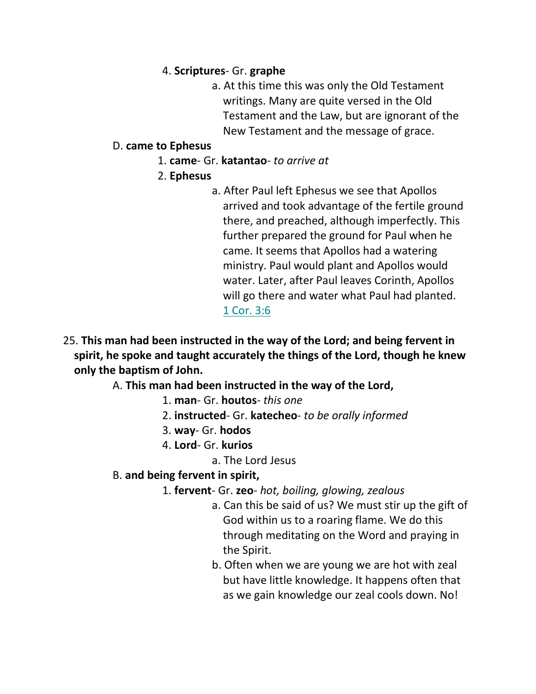### 4. **Scriptures**- Gr. **graphe**

a. At this time this was only the Old Testament writings. Many are quite versed in the Old Testament and the Law, but are ignorant of the New Testament and the message of grace.

### D. **came to Ephesus**

- 1. **came** Gr. **katantao** *to arrive at*
- 2. **Ephesus**
	- a. After Paul left Ephesus we see that Apollos arrived and took advantage of the fertile ground there, and preached, although imperfectly. This further prepared the ground for Paul when he came. It seems that Apollos had a watering ministry. Paul would plant and Apollos would water. Later, after Paul leaves Corinth, Apollos will go there and water what Paul had planted. 1 Cor. 3:6
- 25. **This man had been instructed in the way of the Lord; and being fervent in spirit, he spoke and taught accurately the things of the Lord, though he knew only the baptism of John.**

A. **This man had been instructed in the way of the Lord,**

- 1. **man** Gr. **houtos** *this one*
- 2. **instructed** Gr. **katecheo** *to be orally informed*
- 3. **way** Gr. **hodos**
- 4. **Lord** Gr. **kurios**
	- a. The Lord Jesus

# B. **and being fervent in spirit,**

- 1. **fervent** Gr. **zeo** *hot, boiling, glowing, zealous*
	- a. Can this be said of us? We must stir up the gift of God within us to a roaring flame. We do this through meditating on the Word and praying in the Spirit.
	- b. Often when we are young we are hot with zeal but have little knowledge. It happens often that as we gain knowledge our zeal cools down. No!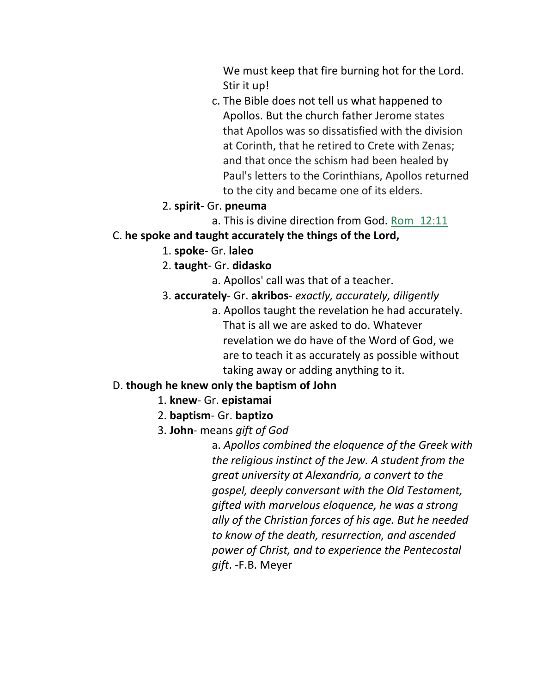We must keep that fire burning hot for the Lord. Stir it up!

c. The Bible does not tell us what happened to Apollos. But the church father Jerome states that Apollos was so dissatisfied with the division at Corinth, that he retired to Crete with Zenas; and that once the schism had been healed by Paul's letters to the Corinthians, Apollos returned to the city and became one of its elders.

#### 2. **spirit**- Gr. **pneuma**

a. This is divine direction from God. Rom\_12:11

#### C. **he spoke and taught accurately the things of the Lord,**

- 1. **spoke** Gr. **laleo**
- 2. **taught** Gr. **didasko**
	- a. Apollos' call was that of a teacher.
- 3. **accurately** Gr. **akribos** *exactly, accurately, diligently*
	- a. Apollos taught the revelation he had accurately. That is all we are asked to do. Whatever revelation we do have of the Word of God, we are to teach it as accurately as possible without taking away or adding anything to it.

# D. **though he knew only the baptism of John**

- 1. **knew** Gr. **epistamai**
- 2. **baptism** Gr. **baptizo**
- 3. **John** means *gift of God*

a. *Apollos combined the eloquence of the Greek with the religious instinct of the Jew. A student from the great university at Alexandria, a convert to the gospel, deeply conversant with the Old Testament, gifted with marvelous eloquence, he was a strong ally of the Christian forces of his age. But he needed to know of the death, resurrection, and ascended power of Christ, and to experience the Pentecostal gift*. -F.B. Meyer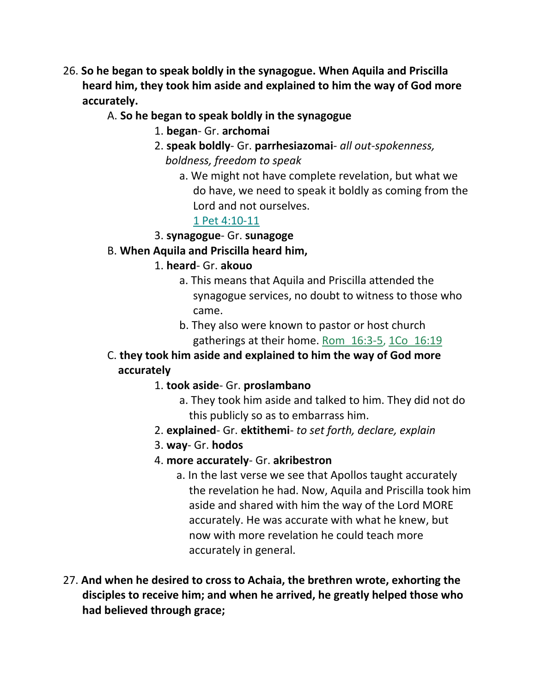- 26. **So he began to speak boldly in the synagogue. When Aquila and Priscilla heard him, they took him aside and explained to him the way of God more accurately.**
	- A. **So he began to speak boldly in the synagogue**
		- 1. **began** Gr. **archomai**
		- 2. **speak boldly** Gr. **parrhesiazomai** *all out-spokenness, boldness, freedom to speak*
			- a. We might not have complete revelation, but what we do have, we need to speak it boldly as coming from the Lord and not ourselves.

#### 1 Pet 4:10-11

#### 3. **synagogue**- Gr. **sunagoge**

### B. **When Aquila and Priscilla heard him,**

- 1. **heard** Gr. **akouo**
	- a. This means that Aquila and Priscilla attended the synagogue services, no doubt to witness to those who came.
	- b. They also were known to pastor or host church gatherings at their home. Rom\_16:3-5, 1Co\_16:19
- C. **they took him aside and explained to him the way of God more accurately**
	- 1. **took aside** Gr. **proslambano**
		- a. They took him aside and talked to him. They did not do this publicly so as to embarrass him.
	- 2. **explained** Gr. **ektithemi** *to set forth, declare, explain*
	- 3. **way** Gr. **hodos**
	- 4. **more accurately** Gr. **akribestron**
		- a. In the last verse we see that Apollos taught accurately the revelation he had. Now, Aquila and Priscilla took him aside and shared with him the way of the Lord MORE accurately. He was accurate with what he knew, but now with more revelation he could teach more accurately in general.
- 27. **And when he desired to cross to Achaia, the brethren wrote, exhorting the disciples to receive him; and when he arrived, he greatly helped those who had believed through grace;**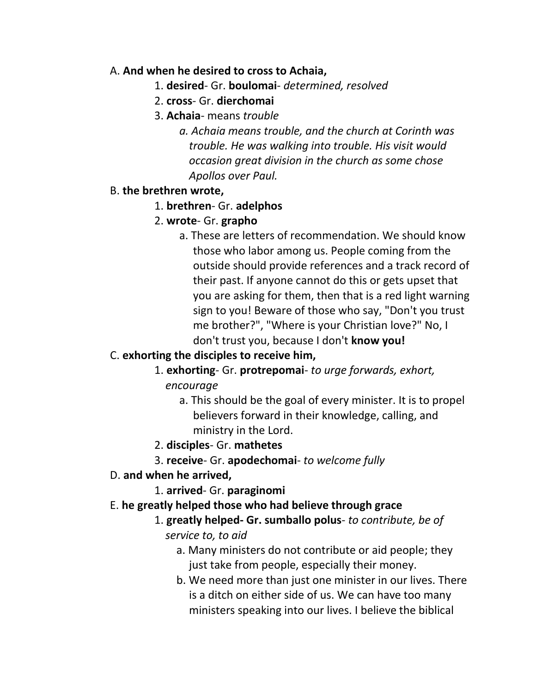#### A. **And when he desired to cross to Achaia,**

- 1. **desired** Gr. **boulomai** *determined, resolved*
- 2. **cross** Gr. **dierchomai**
- 3. **Achaia** means *trouble*
	- *a. Achaia means trouble, and the church at Corinth was trouble. He was walking into trouble. His visit would occasion great division in the church as some chose Apollos over Paul.*

#### B. **the brethren wrote,**

#### 1. **brethren**- Gr. **adelphos**

### 2. **wrote**- Gr. **grapho**

 a. These are letters of recommendation. We should know those who labor among us. People coming from the outside should provide references and a track record of their past. If anyone cannot do this or gets upset that you are asking for them, then that is a red light warning sign to you! Beware of those who say, "Don't you trust me brother?", "Where is your Christian love?" No, I don't trust you, because I don't **know you!**

# C. **exhorting the disciples to receive him,**

- 1. **exhorting** Gr. **protrepomai** *to urge forwards, exhort, encourage*
	- a. This should be the goal of every minister. It is to propel believers forward in their knowledge, calling, and ministry in the Lord.
- 2. **disciples** Gr. **mathetes**
- 3. **receive** Gr. **apodechomai** *to welcome fully*

#### D. **and when he arrived,**

1. **arrived**- Gr. **paraginomi**

#### E. **he greatly helped those who had believe through grace**

- 1. **greatly helped- Gr. sumballo polus** *to contribute, be of service to, to aid*
	- a. Many ministers do not contribute or aid people; they just take from people, especially their money.
	- b. We need more than just one minister in our lives. There is a ditch on either side of us. We can have too many ministers speaking into our lives. I believe the biblical